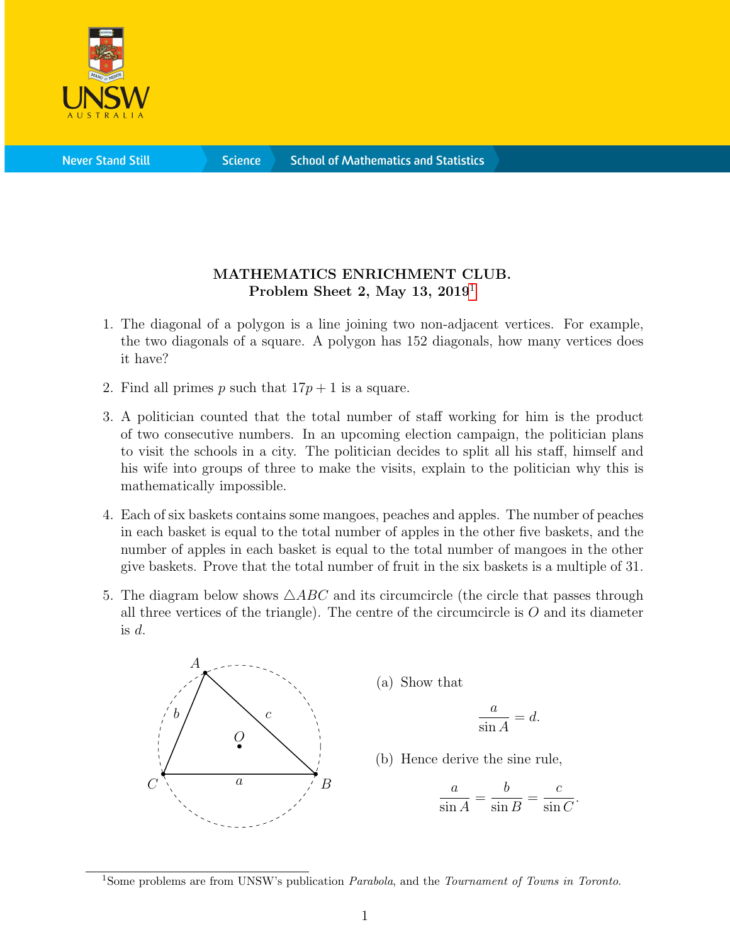

**Science** 

## MATHEMATICS ENRICHMENT CLUB. Problem Sheet 2, May [1](#page-0-0)3,  $2019<sup>1</sup>$

- 1. The diagonal of a polygon is a line joining two non-adjacent vertices. For example, the two diagonals of a square. A polygon has 152 diagonals, how many vertices does it have?
- 2. Find all primes p such that  $17p + 1$  is a square.
- 3. A politician counted that the total number of staff working for him is the product of two consecutive numbers. In an upcoming election campaign, the politician plans to visit the schools in a city. The politician decides to split all his staff, himself and his wife into groups of three to make the visits, explain to the politician why this is mathematically impossible.
- 4. Each of six baskets contains some mangoes, peaches and apples. The number of peaches in each basket is equal to the total number of apples in the other five baskets, and the number of apples in each basket is equal to the total number of mangoes in the other give baskets. Prove that the total number of fruit in the six baskets is a multiple of 31.
- 5. The diagram below shows  $\triangle ABC$  and its circumcircle (the circle that passes through all three vertices of the triangle). The centre of the circumcircle is  $O$  and its diameter is  $d$ .



(a) Show that

$$
\frac{a}{\sin A} = d.
$$

(b) Hence derive the sine rule,

$$
\frac{a}{\sin A} = \frac{b}{\sin B} = \frac{c}{\sin C}.
$$

<span id="page-0-0"></span><sup>&</sup>lt;sup>1</sup>Some problems are from UNSW's publication *Parabola*, and the *Tournament of Towns in Toronto*.